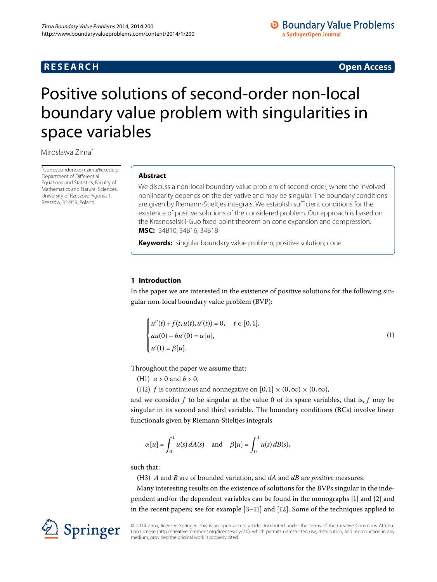## **RESEARCH CONSTRUCTED ACCESS**

# <span id="page-0-0"></span>Positive solutions of second-order non-local boundary value problem with singularities in space variables

Mirosława Zima[\\*](#page-0-0)

\* Correspondence: [mzima@ur.edu.pl](mailto:mzima@ur.edu.pl) Department of Differential Equations and Statistics, Faculty of Mathematics and Natural Sciences, University of Rzeszów, Pigonia 1, Rzeszów, 35-959, Poland

### **Abstract**

We discuss a non-local boundary value problem of second-order, where the involved nonlinearity depends on the derivative and may be singular. The boundary conditions are given by Riemann-Stieltjes integrals. We establish sufficient conditions for the existence of positive solutions of the considered problem. Our approach is based on the Krasnoselskii-Guo fixed point theorem on cone expansion and compression. **MSC:** 34B10; 34B16; 34B18

**Keywords:** singular boundary value problem; positive solution; cone

#### **1 Introduction**

In the paper we are interested in the existence of positive solutions for the following singular non-local boundary value problem (BVP):

<span id="page-0-1"></span>
$$
\begin{cases}\n u''(t) + f(t, u(t), u'(t)) = 0, & t \in [0, 1], \\
 au(0) - bu'(0) = \alpha[u], \\
 u'(1) = \beta[u].\n\end{cases}
$$
\n(1)

Throughout the paper we assume that:

- (H1)  $a > 0$  and  $b > 0$ ,
- (H2) *f* is continuous and nonnegative on  $[0, 1] \times (0, \infty) \times (0, \infty)$ ,

and we consider  $f$  to be singular at the value 0 of its space variables, that is,  $f$  may be singular in its second and third variable. The boundary conditions (BCs) involve linear functionals given by Riemann-Stieltjes integrals

$$
\alpha[u] = \int_0^1 u(s) dA(s) \quad \text{and} \quad \beta[u] = \int_0^1 u(s) dB(s),
$$

such that:

(H) *A* and *B* are of bounded variation, and *dA* and *dB* are *positive* measures.

Many interesting results on the existence of solutions for the BVPs singular in the independent and/or the dependent variables can be found in the monographs  $[1]$  $[1]$  and  $[2]$  $[2]$  and in the recent papers; see for example  $[3-11]$  $[3-11]$  and  $[12]$ . Some of the techniques applied to

© 2014 Zima; licensee Springer. This is an open access article distributed under the terms of the Creative Commons Attribution License (http://creativecommons.org/licenses/by/2.0), which permits unrestricted use, distribution, and reproduction in any medium, provided the original work is properly cited.

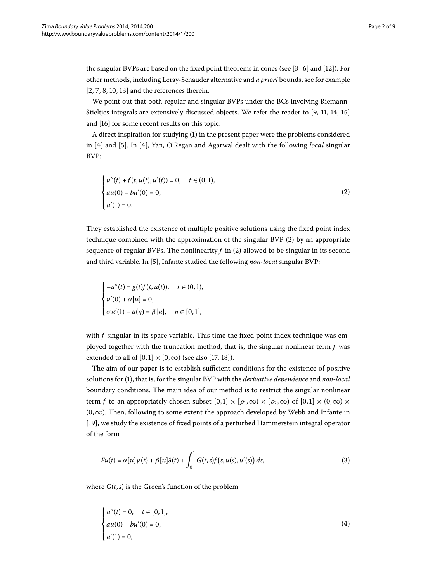the singular BVPs are based on the fixed point theorems in cones (see  $[3-6]$  $[3-6]$  and  $[12]$ ). For other methods, including Leray-Schauder alternative and *a priori* bounds, see for example  $[2, 7, 8, 10, 13]$  $[2, 7, 8, 10, 13]$  $[2, 7, 8, 10, 13]$  and the references therein.

We point out that both regular and singular BVPs under the BCs involving Riemann-Stieltjes integrals are extensively discussed objects. We refer the reader to  $[9, 11, 14, 15]$  $[9, 11, 14, 15]$  $[9, 11, 14, 15]$  $[9, 11, 14, 15]$ and [\[](#page-8-13)16] for some recent results on this topic.

A direct inspiration for studying (1[\)](#page-0-1) in the present paper were the problems considered in [4[\]](#page-8-15) and [5]. In [4], Yan, O'Regan and Agarwal dealt with the following *local* singular BVP:

<span id="page-1-0"></span>
$$
\begin{cases}\n u''(t) + f(t, u(t), u'(t)) = 0, & t \in (0, 1), \\
 au(0) - bu'(0) = 0, \\
 u'(1) = 0.\n\end{cases}
$$
\n(2)

They established the existence of multiple positive solutions using the fixed point index technique combined with the approximation of the singular BVP  $(2)$  $(2)$  by an appropriate sequence of regular BVPs. The nonlinearity  $f$  in (2[\)](#page-1-0) allowed to be singular in its second and third variable. In [\[](#page-8-15)5], Infante studied the following *non-local* singular BVP:

$$
\begin{cases}\n-u''(t) = g(t)f(t, u(t)), & t \in (0, 1), \\
u'(0) + \alpha[u] = 0, \\
\sigma u'(1) + u(\eta) = \beta[u], & \eta \in [0, 1],\n\end{cases}
$$

with *f* singular in its space variable. This time the fixed point index technique was employed together with the truncation method, that is, the singular nonlinear term *f* was extended to all of  $[0, 1] \times [0, \infty)$  $[0, 1] \times [0, \infty)$  $[0, 1] \times [0, \infty)$  $[0, 1] \times [0, \infty)$  (see also [17, 18]).

The aim of our paper is to establish sufficient conditions for the existence of positive solutions for [\(](#page-0-1)), that is, for the singular BVP with the *derivative dependence* and *non-local* boundary conditions. The main idea of our method is to restrict the singular nonlinear term *f* to an appropriately chosen subset  $[0,1] \times [\rho_1,\infty) \times [\rho_2,\infty)$  of  $[0,1] \times (0,\infty) \times$  $(0, \infty)$ . Then, following to some extent the approach developed by Webb and Infante in [19[\]](#page-8-18), we study the existence of fixed points of a perturbed Hammerstein integral operator of the form

<span id="page-1-2"></span><span id="page-1-1"></span>
$$
Fu(t) = \alpha[u]\gamma(t) + \beta[u]\delta(t) + \int_0^1 G(t,s)f(s,u(s),u'(s))\,ds,\tag{3}
$$

where  $G(t, s)$  is the Green's function of the problem

$$
\begin{cases}\n u''(t) = 0, & t \in [0,1], \\
 au(0) - bu'(0) = 0, \\
 u'(1) = 0,\n\end{cases}
$$
\n(4)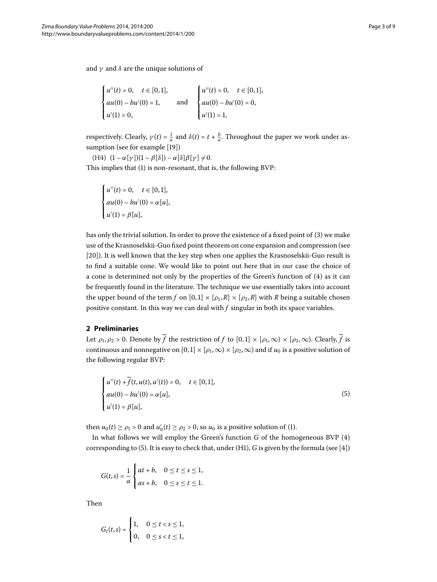and *γ* and *δ* are the unique solutions of

$$
\begin{cases}\nu''(t) = 0, & t \in [0,1], \\
au(0) - bu'(0) = 1, & \text{and} \\
u'(1) = 0, &\n\end{cases}\n\quad \text{and} \quad\n\begin{cases}\nu''(t) = 0, & t \in [0,1], \\
au(0) - bu'(0) = 0, \\
u'(1) = 1,\n\end{cases}
$$

respectively. Clearly,  $\gamma(t) = \frac{1}{a}$  and  $\delta(t) = t + \frac{b}{a}$ . Throughout the paper we work under as-sumption (see for example [19[\]](#page-8-18))

 $(H4)$   $(1 - \alpha[\gamma])(1 - \beta[\delta]) - \alpha[\delta]\beta[\gamma] \neq 0.$ This implies that (1) is non-resonant, that is, the following BVP:

$$
\begin{cases}\nu''(t) = 0, & t \in [0,1], \\
au(0) - bu'(0) = \alpha[u], \\
u'(1) = \beta[u],\n\end{cases}
$$

has only the trivial solution. In order to prove the existence of a fixed point of (3[\)](#page-1-1) we make use of the Krasnoselskii-Guo fixed point theorem on cone expansion and compression (see [20]). It is well known that the key step when one applies the Krasnoselskii-Guo result is to find a suitable cone. We would like to point out here that in our case the choice of a cone is determined not only by the properties of the Green's function of [\(](#page-1-2)4) as it can be frequently found in the literature. The technique we use essentially takes into account the upper bound of the term *f* on  $[0,1] \times [\rho_1, R] \times [\rho_2, R]$  with *R* being a suitable chosen positive constant. In this way we can deal with *f* singular in both its space variables.

#### **2 Preliminaries**

Let  $\rho_1, \rho_2 > 0$ . Denote by  $\widetilde{f}$  the restriction of f to  $[0, 1] \times [\rho_1, \infty) \times [\rho_2, \infty)$ . Clearly,  $\widetilde{f}$  is continuous and nonnegative on  $[0, 1] \times [\rho_1, \infty) \times [\rho_2, \infty)$  and if  $u_0$  is a positive solution of the following regular BVP:

<span id="page-2-0"></span>
$$
\begin{cases}\n u''(t) + \tilde{f}(t, u(t), u'(t)) = 0, & t \in [0, 1], \\
 au(0) - bu'(0) = \alpha[u], \\
 u'(1) = \beta[u],\n\end{cases}
$$
\n(5)

then  $u_0(t) \ge \rho_1 > 0$  $u_0(t) \ge \rho_1 > 0$  $u_0(t) \ge \rho_1 > 0$  and  $u'_0(t) \ge \rho_2 > 0$ , so  $u_0$  is a positive solution of (1).

In what follows we will employ the Green's function  $G$  of the homogeneous BVP  $(4)$ corresponding to (5[\)](#page-2-0). It is easy to check that, under (H1), *G* is given by the formula (see [4[\]](#page-8-14))

$$
G(t,s) = \frac{1}{a} \begin{cases} at + b, & 0 \le t \le s \le 1, \\ as + b, & 0 \le s \le t \le 1. \end{cases}
$$

Then

$$
G_t(t,s) = \begin{cases} 1, & 0 \le t < s \le 1, \\ 0, & 0 \le s < t \le 1, \end{cases}
$$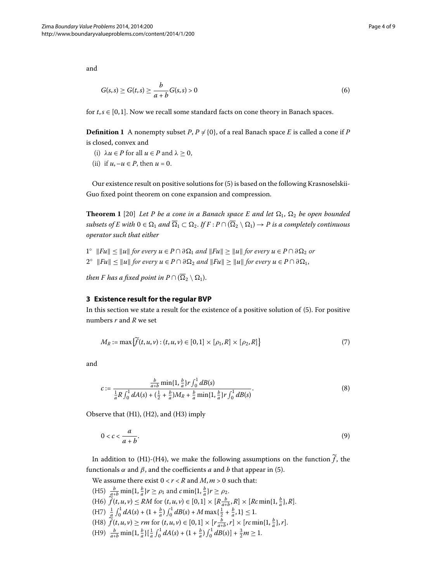and

<span id="page-3-3"></span>
$$
G(s,s) \ge G(t,s) \ge \frac{b}{a+b}G(s,s) > 0
$$
\n
$$
(6)
$$

for  $t, s \in [0, 1]$ . Now we recall some standard facts on cone theory in Banach spaces.

**Definition 1** A nonempty subset *P*,  $P \neq \{0\}$ , of a real Banach space *E* is called a cone if *P* is closed, convex and

- <span id="page-3-2"></span>(i)  $\lambda u \in P$  for all  $u \in P$  and  $\lambda \geq 0$ ,
- (ii) if  $u, -u \in P$ , then  $u = 0$ .

Our existence result on positive solutions for (5) is based on the following Krasnoselskii-Guo fixed point theorem on cone expansion and compression.

**Theorem 1** [20] Let P be a cone in a Banach space E and let  $\Omega_1$ ,  $\Omega_2$  be open bounded  $subsets$  of  $E$  with  $0 \in \Omega_1$  and  $\Omega_1 \subset \Omega_2$ . If  $F : P \cap (\Omega_2 \setminus \Omega_1) \to P$  is a completely continuous *operator such that either*

 $1^\circ$  ||Fu|| ≤ ||u|| for every  $u \in P \cap \partial \Omega_1$  and  $||Fu|| \ge ||u||$  for every  $u \in P \cap \partial \Omega_2$  or  $2^{\circ}$  ||Fu||  $\leq$  ||u|| for every  $u \in P \cap \partial \Omega_2$  and  $||Fu|| \geq ||u||$  for every  $u \in P \cap \partial \Omega_1$ ,

*then F has a fixed point in*  $P \cap (\Omega_2 \setminus \Omega_1)$ .

#### **3 Existence result for the regular BVP**

In this section we state a result for the existence of a positive solution of  $(5)$ . For positive numbers *r* and *R* we set

<span id="page-3-1"></span><span id="page-3-0"></span>
$$
M_R := \max\{\tilde{f}(t, u, v) : (t, u, v) \in [0, 1] \times [\rho_1, R] \times [\rho_2, R]\}\tag{7}
$$

and

<span id="page-3-4"></span>
$$
c := \frac{\frac{b}{a+b} \min\{1, \frac{b}{a}\} r \int_0^1 dB(s)}{\frac{1}{a} R \int_0^1 dA(s) + (\frac{1}{2} + \frac{b}{a}) M_R + \frac{b}{a} \min\{1, \frac{b}{a}\} r \int_0^1 dB(s)}.
$$
(8)

Observe that  $(H1)$ ,  $(H2)$ , and  $(H3)$  imply

$$
0 < c < \frac{a}{a+b}.\tag{9}
$$

In addition to (H1)-(H4), we make the following assumptions on the function  $\widetilde{f}$ , the functionals *α* and *β*, and the coefficients *a* and *b* that appear in (5[\)](#page-2-0).

We assume there exist  $0 < r < R$  and  $M, m > 0$  such that:

(H5)  $\frac{b}{a+b} \min\{1, \frac{b}{a}\}r \ge \rho_1$  and  $c \min\{1, \frac{b}{a}\}r \ge \rho_2$ .  $f(H_0) \tilde{f}(t, u, v) \le RM \text{ for } (t, u, v) \in [0, 1] \times [R \frac{b}{a+b}, R] \times [Rc \min\{1, \frac{b}{a}\}, R].$  $(H7)$   $\frac{1}{a} \int_0^1 dA(s) + (1 + \frac{b}{a}) \int_0^1 dB(s) + M \max\{\frac{1}{2} + \frac{b}{a}, 1\} \leq 1.$  $(f(A8) \tilde{f}(t, u, v) \ge rm \text{ for } (t, u, v) \in [0, 1] \times [r \frac{b}{a+b}, r] \times [rc \min\{1, \frac{b}{a}\}, r].$  $(H9)$   $\frac{b}{a+b} \min\{1, \frac{b}{a}\}\left[\frac{1}{a}\int_0^1 dA(s) + (1+\frac{b}{a})\int_0^1 dB(s)\right] + \frac{3}{2}m \ge 1.$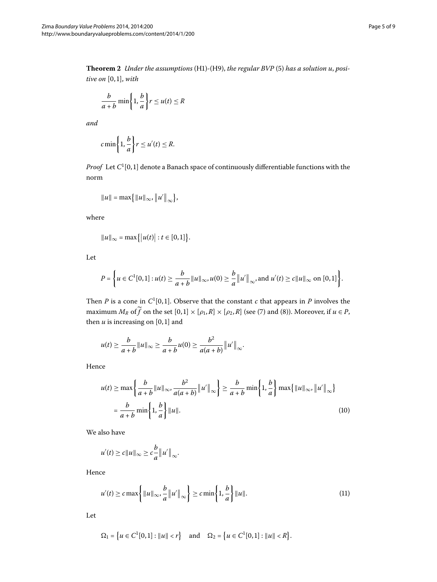<span id="page-4-1"></span>Theorem 2 Under the assumptions [\(](#page-2-0)H1)-(H9), the regular BVP (5) has a solution u, posi*tive on* [0,1], *with* 

$$
\frac{b}{a+b}\min\left\{1,\frac{b}{a}\right\}r\leq u(t)\leq R
$$

*and*

$$
c \min\left\{1, \frac{b}{a}\right\} r \leq u'(t) \leq R.
$$

*Proof* Let  $C^1[0,1]$  denote a Banach space of continuously differentiable functions with the norm

$$
||u|| = \max\{||u||_{\infty}, ||u'||_{\infty}\},\
$$

where

$$
||u||_{\infty} = \max\{|u(t)| : t \in [0,1]\}.
$$

Let

$$
P = \left\{ u \in C^1[0,1] : u(t) \geq \frac{b}{a+b} ||u||_{\infty}, u(0) \geq \frac{b}{a} ||u'||_{\infty}, \text{and } u'(t) \geq c ||u||_{\infty} \text{ on } [0,1] \right\}.
$$

Then *P* is a cone in  $C^1[0,1]$ . Observe that the constant *c* that appears in *P* involves the maximum  $M_R$  of  $\widetilde{f}$  on the set  $[0, 1] \times [\rho_1, R] \times [\rho_2, R]$  [\(](#page-3-1)see (7) and (8)). Moreover, if  $u \in P$ , then  $u$  is increasing on  $[0, 1]$  and

$$
u(t) \geq \frac{b}{a+b} ||u||_{\infty} \geq \frac{b}{a+b} u(0) \geq \frac{b^2}{a(a+b)} ||u'||_{\infty}.
$$

Hence

<span id="page-4-0"></span>
$$
u(t) \ge \max\left\{\frac{b}{a+b}||u||_{\infty}, \frac{b^2}{a(a+b)}||u'||_{\infty}\right\} \ge \frac{b}{a+b} \min\left\{1, \frac{b}{a}\right\} \max\left\{||u||_{\infty}, ||u'||_{\infty}\right\}
$$

$$
= \frac{b}{a+b} \min\left\{1, \frac{b}{a}\right\} ||u||. \tag{10}
$$

We also have

<span id="page-4-2"></span>
$$
u'(t) \ge c||u||_{\infty} \ge c\frac{b}{a}||u'||_{\infty}.
$$

Hence

$$
u'(t) \geq c \max\left\{ ||u||_{\infty}, \frac{b}{a} ||u'||_{\infty} \right\} \geq c \min\left\{ 1, \frac{b}{a} \right\} ||u||. \tag{11}
$$

Let

$$
\Omega_1 = \left\{ u \in C^1[0,1] : ||u|| < r \right\} \text{ and } \Omega_2 = \left\{ u \in C^1[0,1] : ||u|| < R \right\}.
$$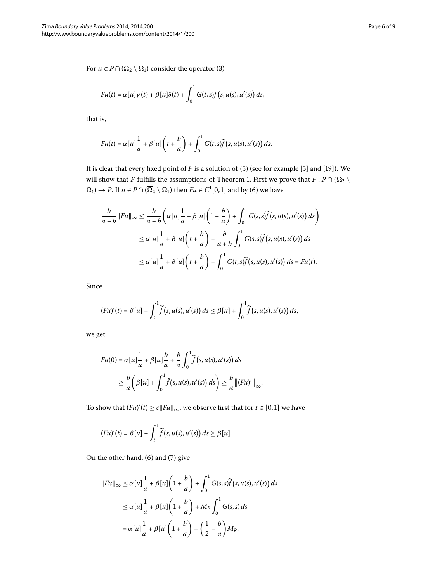$$
Fu(t) = \alpha[u]\gamma(t) + \beta[u]\delta(t) + \int_0^1 G(t,s)f(s,u(s),u'(s)) ds,
$$

that is,

$$
Fu(t) = \alpha[u]\frac{1}{a} + \beta[u]\left(t + \frac{b}{a}\right) + \int_0^1 G(t,s)\widetilde{f}(s,u(s),u'(s))\,ds.
$$

It is clear that every fixed point of  $F$  is a solution of  $(5)$  $(5)$  (see for example  $[5]$  $[5]$  and  $[19]$ ). We will show that *F* fulfills the assumptions of Theorem 1. First we prove that  $F : P \cap (\Omega_2 \setminus$  $\Omega_1$ [\)](#page-3-3)  $\to$  *P*. If  $u \in P \cap (\overline{\Omega_2} \setminus \Omega_1)$  then  $Fu \in C^1[0,1]$  and by (6) we have

$$
\frac{b}{a+b}||Fu||_{\infty} \le \frac{b}{a+b} \left( \alpha[u] \frac{1}{a} + \beta[u] \left( 1 + \frac{b}{a} \right) + \int_0^1 G(s,s) \widetilde{f}(s,u(s),u'(s)) ds \right)
$$
  

$$
\le \alpha[u] \frac{1}{a} + \beta[u] \left( t + \frac{b}{a} \right) + \frac{b}{a+b} \int_0^1 G(s,s) \widetilde{f}(s,u(s),u'(s)) ds
$$
  

$$
\le \alpha[u] \frac{1}{a} + \beta[u] \left( t + \frac{b}{a} \right) + \int_0^1 G(t,s) \widetilde{f}(s,u(s),u'(s)) ds = Fu(t).
$$

Since

$$
(Fu)'(t) = \beta[u] + \int_t^1 \widetilde{f}(s, u(s), u'(s)) ds \leq \beta[u] + \int_0^1 \widetilde{f}(s, u(s), u'(s)) ds,
$$

we get

$$
Fu(0) = \alpha[u]\frac{1}{a} + \beta[u]\frac{b}{a} + \frac{b}{a}\int_0^1 \widetilde{f}(s, u(s), u'(s)) ds
$$
  
\n
$$
\geq \frac{b}{a}\left(\beta[u] + \int_0^1 \widetilde{f}(s, u(s), u'(s)) ds\right) \geq \frac{b}{a}\|(Fu)'\|_{\infty}.
$$

To show that  $(Fu)'(t) \ge c||Fu||_{\infty}$ , we observe first that for  $t \in [0,1]$  we have

$$
(Fu)'(t) = \beta[u] + \int_t^1 \widetilde{f}(s, u(s), u'(s)) ds \geq \beta[u].
$$

On the other hand,  $(6)$  $(6)$  and  $(7)$  $(7)$  give

$$
||Fu||_{\infty} \leq \alpha[u]\frac{1}{a} + \beta[u]\left(1 + \frac{b}{a}\right) + \int_0^1 G(s,s)\widetilde{f}(s,u(s),u'(s)) ds
$$
  

$$
\leq \alpha[u]\frac{1}{a} + \beta[u]\left(1 + \frac{b}{a}\right) + M_R \int_0^1 G(s,s) ds
$$
  

$$
= \alpha[u]\frac{1}{a} + \beta[u]\left(1 + \frac{b}{a}\right) + \left(\frac{1}{2} + \frac{b}{a}\right)M_R.
$$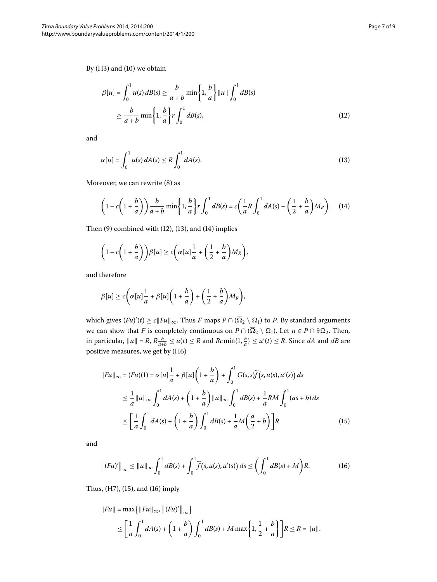By  $(H3)$  $(H3)$  and  $(10)$  we obtain

<span id="page-6-1"></span><span id="page-6-0"></span>
$$
\beta[u] = \int_0^1 u(s) dB(s) \ge \frac{b}{a+b} \min\left\{1, \frac{b}{a}\right\} ||u|| \int_0^1 dB(s)
$$
  

$$
\ge \frac{b}{a+b} \min\left\{1, \frac{b}{a}\right\} r \int_0^1 dB(s), \tag{12}
$$

and

<span id="page-6-2"></span>
$$
\alpha[u] = \int_0^1 u(s) dA(s) \le R \int_0^1 dA(s). \tag{13}
$$

Moreover, we can rewrite  $(8)$  $(8)$  as

$$
\left(1 - c\left(1 + \frac{b}{a}\right)\right) \frac{b}{a+b} \min\left\{1, \frac{b}{a}\right\} r \int_0^1 dB(s) = c\left(\frac{1}{a}R \int_0^1 dA(s) + \left(\frac{1}{2} + \frac{b}{a}\right) M_R\right). \tag{14}
$$

Then  $(9)$  $(9)$  combined with  $(12)$  $(12)$ ,  $(13)$ , and  $(14)$  implies

$$
\left(1-c\left(1+\frac{b}{a}\right)\right)\beta[u]\geq c\left(\alpha[u]\frac{1}{a}+\left(\frac{1}{2}+\frac{b}{a}\right)M_R\right),\,
$$

and therefore

$$
\beta[u] \ge c\bigg(\alpha[u]\frac{1}{a} + \beta[u]\bigg(1+\frac{b}{a}\bigg) + \bigg(\frac{1}{2}+\frac{b}{a}\bigg)M_R\bigg),\end{aligned}
$$

which gives  $(Fu)'(t) \ge c||Fu||_{\infty}$ . Thus *F* maps  $P \cap (\Omega_2 \setminus \Omega_1)$  to *P*. By standard arguments we can show that *F* is completely continuous on  $P \cap (\Omega_2 \setminus \Omega_1)$ . Let  $u \in P \cap \partial \Omega_2$ . Then, in particular,  $\|u\| = R$ ,  $R\frac{b}{a+b} \le u(t) \le R$  and  $Rc \min\{1, \frac{b}{a}\} \le u'(t) \le R$ . Since *dA* and *dB* are positive measures, we get by (H6)

<span id="page-6-4"></span><span id="page-6-3"></span>
$$
||Fu||_{\infty} = (Fu)(1) = \alpha[u]\frac{1}{a} + \beta[u]\left(1 + \frac{b}{a}\right) + \int_0^1 G(s, s)\widetilde{f}(s, u(s), u'(s)) ds
$$
  
\n
$$
\leq \frac{1}{a}||u||_{\infty} \int_0^1 dA(s) + \left(1 + \frac{b}{a}\right)||u||_{\infty} \int_0^1 dB(s) + \frac{1}{a}RM \int_0^1 (as + b) ds
$$
  
\n
$$
\leq \left[\frac{1}{a} \int_0^1 dA(s) + \left(1 + \frac{b}{a}\right) \int_0^1 dB(s) + \frac{1}{a}M\left(\frac{a}{2} + b\right)\right]R
$$
 (15)

and

$$
\|(Fu)'\|_{\infty} \leq \|u\|_{\infty} \int_0^1 dB(s) + \int_0^1 \widetilde{f}(s, u(s), u'(s)) ds \leq \left(\int_0^1 dB(s) + M\right) R. \tag{16}
$$

Thus, (H7[\)](#page-6-3), [\(](#page-6-4)15), and (16) imply

$$
||Fu|| = \max\{||Fu||_{\infty}, ||(Fu)'||_{\infty}\}\
$$
  

$$
\leq \left[\frac{1}{a} \int_0^1 dA(s) + \left(1 + \frac{b}{a}\right) \int_0^1 dB(s) + M \max\left\{1, \frac{1}{2} + \frac{b}{a}\right\}\right] R \leq R = ||u||.
$$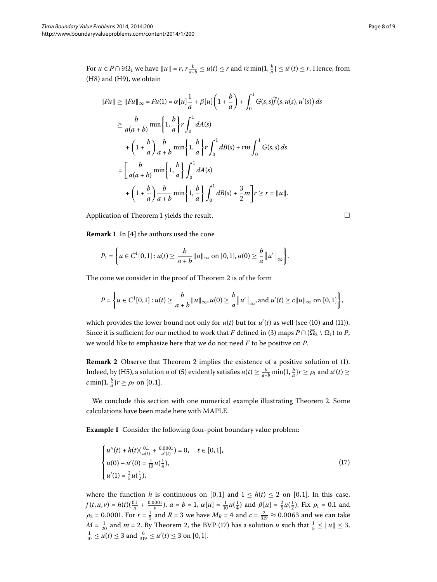For  $u \in P \cap \partial \Omega_1$  we have  $||u|| = r$ ,  $r \frac{b}{a+b} \le u(t) \le r$  and  $rc \min\{1, \frac{b}{a}\} \le u'(t) \le r$ . Hence, from  $(H8)$  and  $(H9)$ , we obtain

$$
||Fu|| \ge ||Fu||_{\infty} = Fu(1) = \alpha[u]\frac{1}{a} + \beta[u]\left(1 + \frac{b}{a}\right) + \int_0^1 G(s,s)\widetilde{f}(s,u(s),u'(s)) ds
$$
  
\n
$$
\ge \frac{b}{a(a+b)} \min\left\{1, \frac{b}{a}\right\} r \int_0^1 dA(s)
$$
  
\n
$$
+ \left(1 + \frac{b}{a}\right) \frac{b}{a+b} \min\left\{1, \frac{b}{a}\right\} r \int_0^1 dB(s) + rm \int_0^1 G(s,s) ds
$$
  
\n
$$
= \left[\frac{b}{a(a+b)} \min\left\{1, \frac{b}{a}\right\} \int_0^1 dA(s)
$$
  
\n
$$
+ \left(1 + \frac{b}{a}\right) \frac{b}{a+b} \min\left\{1, \frac{b}{a}\right\} \int_0^1 dB(s) + \frac{3}{2} m\right] r \ge r = ||u||.
$$

Application of Theorem 1 yields the result.

**Remark 1** In [4] the authors used the cone

$$
P_1 = \left\{ u \in C^1[0,1] : u(t) \geq \frac{b}{a+b} ||u||_{\infty} \text{ on } [0,1], u(0) \geq \frac{b}{a} ||u'||_{\infty} \right\}.
$$

The cone we consider in the proof of Theorem 2 is of the form

$$
P = \left\{ u \in C^1[0,1] : u(t) \geq \frac{b}{a+b} ||u||_{\infty}, u(0) \geq \frac{b}{a} ||u'||_{\infty}, \text{and } u'(t) \geq c ||u||_{\infty} \text{ on } [0,1] \right\},\
$$

which provides the lower bound not only for  $u(t)$  $u(t)$  but for  $u'(t)$  as well (see (10) and (11)). Since it is sufficient for our method to work that *F* defined in (3[\)](#page-1-1) maps  $P \cap (\Omega_2 \setminus \Omega_1)$  to  $P$ , we would like to emphasize here that we do not need *F* to be positive on *P*.

**Remark 2** Observe that Theorem 2 implies the existence of a positive solution of (1[\)](#page-0-1). Indeed, by (H5[\)](#page-2-0), a solution *u* of (5) evidently satisfies  $u(t) \ge \frac{b}{a+b} \min\{1, \frac{b}{a}\}r \ge \rho_1$  and  $u'(t) \ge$  $c \min\{1, \frac{b}{a}\}$ *r*  $\geq \rho_2$  on [0,1].

We conclude this section with one numerical example illustrating Theorem 2[.](#page-4-1) Some calculations have been made here with MAPLE.

**Example 1** Consider the following four-point boundary value problem:

$$
\begin{cases}\n u''(t) + h(t)\left(\frac{0.1}{u(t)} + \frac{0.0001}{u'(t)}\right) = 0, & t \in [0, 1], \\
 u(0) - u'(0) = \frac{1}{10}u\left(\frac{1}{4}\right), \\
 u'(1) = \frac{2}{5}u\left(\frac{1}{2}\right),\n\end{cases} \tag{17}
$$

where the function *h* is continuous on [0,1] and  $1 \leq h(t) \leq 2$  on [0,1]. In this case,  $f(t, u, v) = h(t)(\frac{0.1}{u} + \frac{0.0001}{v}), a = b = 1, \alpha[u] = \frac{1}{10}u(\frac{1}{4})$  and  $\beta[u] = \frac{2}{5}u(\frac{1}{2})$ . Fix  $\rho_1 = 0.1$  and  $\rho_2 = 0.0001$ . For  $r = \frac{1}{5}$  and  $R = 3$  we have  $M_R = 4$  and  $c = \frac{2}{319} \approx 0.0063$  and we can take  $M = \frac{1}{20}$  and  $m = 2$ . By Theorem 2[,](#page-4-1) the BVP (17) has a solution *u* such that  $\frac{1}{5} \leq ||u|| \leq 3$ ,  $\frac{1}{10} \le u(t) \le 3$  and  $\frac{6}{319} \le u'(t) \le 3$  on [0,1].

<span id="page-7-0"></span> $\Box$